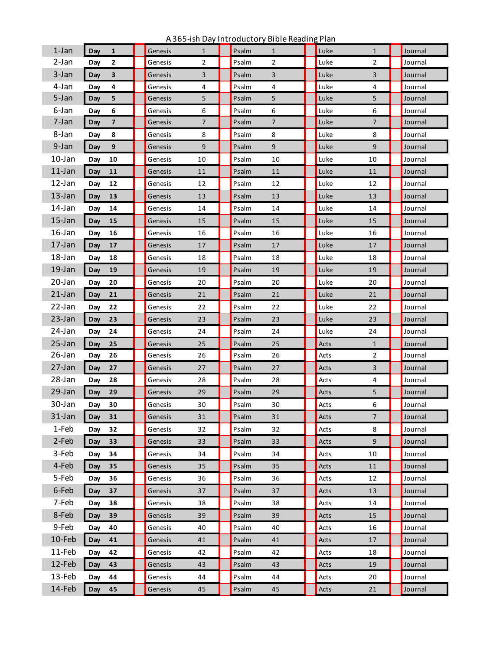| $1-Jan$   | $\mathbf{1}$<br>Day            | Genesis | 1              | Psalm | $\mathbf{1}$   | Luke | $\mathbf{1}$   | Journal |
|-----------|--------------------------------|---------|----------------|-------|----------------|------|----------------|---------|
| 2-Jan     | $\mathbf{2}$<br>Day            | Genesis | 2              | Psalm | $\overline{2}$ | Luke | 2              | Journal |
| 3-Jan     | $\overline{\mathbf{3}}$<br>Day | Genesis | 3              | Psalm | 3              | Luke | 3              | Journal |
| 4-Jan     | 4<br>Day                       | Genesis | 4              | Psalm | 4              | Luke | 4              | Journal |
| 5-Jan     | Day<br>5                       | Genesis | 5              | Psalm | 5              | Luke | 5              | Journal |
| 6-Jan     | 6<br>Day                       | Genesis | 6              | Psalm | 6              | Luke | 6              | Journal |
| 7-Jan     | $\overline{7}$<br>Day          | Genesis | $\overline{7}$ | Psalm | $\overline{7}$ | Luke | $\overline{7}$ | Journal |
| 8-Jan     | Day<br>8                       | Genesis | 8              | Psalm | 8              | Luke | 8              | Journal |
| 9-Jan     | 9<br>Day                       | Genesis | 9              | Psalm | 9              | Luke | 9              | Journal |
| 10-Jan    | Day<br>10                      | Genesis | 10             | Psalm | 10             | Luke | 10             | Journal |
| $11$ -Jan | Day<br>11                      | Genesis | 11             | Psalm | 11             | Luke | 11             | Journal |
| $12$ -Jan | Day<br>12                      | Genesis | 12             | Psalm | 12             | Luke | 12             | Journal |
| $13$ -Jan | 13<br>Day                      | Genesis | 13             | Psalm | 13             | Luke | 13             | Journal |
| 14-Jan    | Day<br>14                      | Genesis | 14             | Psalm | 14             | Luke | 14             | Journal |
| $15$ -Jan | Day<br>15                      | Genesis | 15             | Psalm | 15             | Luke | 15             | Journal |
| $16$ -Jan | Day<br>16                      | Genesis | 16             | Psalm | 16             | Luke | 16             | Journal |
| $17$ -Jan | 17<br>Day                      | Genesis | 17             | Psalm | 17             | Luke | 17             | Journal |
| 18-Jan    | Day<br>18                      | Genesis | 18             | Psalm | 18             | Luke | 18             | Journal |
| $19$ -Jan | Day<br>19                      | Genesis | 19             | Psalm | 19             | Luke | 19             | Journal |
| 20-Jan    | Day<br>20                      | Genesis | 20             | Psalm | 20             | Luke | 20             | Journal |
| $21$ -Jan | 21<br>Day                      | Genesis | 21             | Psalm | 21             | Luke | 21             | Journal |
| 22-Jan    | Day<br>22                      | Genesis | 22             | Psalm | 22             | Luke | 22             | Journal |
| 23-Jan    | 23<br>Day                      | Genesis | 23             | Psalm | 23             | Luke | 23             | Journal |
| 24-Jan    | Day<br>24                      | Genesis | 24             | Psalm | 24             | Luke | 24             | Journal |
| 25-Jan    | Day<br>25                      | Genesis | 25             | Psalm | 25             | Acts | $\mathbf{1}$   | Journal |
| 26-Jan    | Day<br>26                      | Genesis | 26             | Psalm | 26             | Acts | 2              | Journal |
| 27-Jan    | 27<br>Day                      | Genesis | 27             | Psalm | 27             | Acts | 3              | Journal |
| 28-Jan    | 28<br>Day                      | Genesis | 28             | Psalm | 28             | Acts | 4              | Journal |
| 29-Jan    | 29<br>Day                      | Genesis | 29             | Psalm | 29             | Acts | 5              | Journal |
| 30-Jan    | 30<br>Day                      | Genesis | 30             | Psalm | 30             | Acts | 6              | Journal |
| $31$ -Jan | 31<br>Day                      | Genesis | 31             | Psalm | 31             | Acts | $\overline{7}$ | Journal |
| 1-Feb     | 32<br>Day                      | Genesis | 32             | Psalm | 32             | Acts | 8              | Journal |
| 2-Feb     | 33<br>Day                      | Genesis | 33             | Psalm | 33             | Acts | 9              | Journal |
| 3-Feb     | Day<br>34                      | Genesis | 34             | Psalm | 34             | Acts | 10             | Journal |
| 4-Feb     | 35<br>Day                      | Genesis | 35             | Psalm | 35             | Acts | 11             | Journal |
| 5-Feb     | Day<br>36                      | Genesis | 36             | Psalm | 36             | Acts | 12             | Journal |
| 6-Feb     | 37<br>Day                      | Genesis | 37             | Psalm | 37             | Acts | 13             | Journal |
| 7-Feb     | Day<br>38                      | Genesis | 38             | Psalm | 38             | Acts | 14             | Journal |
| 8-Feb     | 39<br>Day                      | Genesis | 39             | Psalm | 39             | Acts | 15             | Journal |
| 9-Feb     | Day<br>40                      | Genesis | 40             | Psalm | 40             | Acts | 16             | Journal |
| 10-Feb    | 41<br>Day                      | Genesis | 41             | Psalm | 41             | Acts | 17             | Journal |
| 11-Feb    | 42<br>Day                      | Genesis | 42             | Psalm | 42             | Acts | 18             | Journal |
| 12-Feb    | 43<br>Day                      | Genesis | 43             | Psalm | 43             | Acts | 19             | Journal |
| 13-Feb    | Day<br>44                      | Genesis | 44             | Psalm | 44             | Acts | 20             | Journal |
| 14-Feb    | 45<br>Day                      | Genesis | 45             | Psalm | 45             | Acts | 21             | Journal |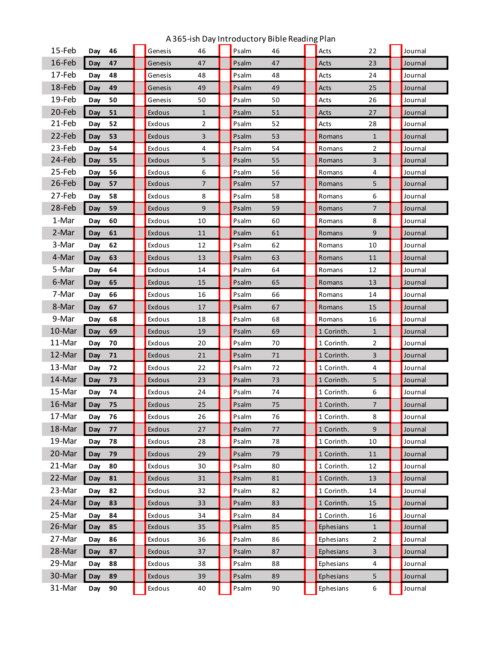| 15-Feb | 46<br>Day | Genesis | 46             | Psalm | 46 | Acts       | 22                      | Journal |
|--------|-----------|---------|----------------|-------|----|------------|-------------------------|---------|
| 16-Feb | 47<br>Day | Genesis | 47             | Psalm | 47 | Acts       | 23                      | Journal |
| 17-Feb | 48<br>Day | Genesis | 48             | Psalm | 48 | Acts       | 24                      | Journal |
| 18-Feb | 49<br>Day | Genesis | 49             | Psalm | 49 | Acts       | 25                      | Journal |
| 19-Feb | 50<br>Day | Genesis | 50             | Psalm | 50 | Acts       | 26                      | Journal |
| 20-Feb | 51<br>Day | Exdous  | $\mathbf{1}$   | Psalm | 51 | Acts       | 27                      | Journal |
| 21-Feb | Day<br>52 | Exdous  | $\overline{2}$ | Psalm | 52 | Acts       | 28                      | Journal |
| 22-Feb | 53<br>Day | Exdous  | 3              | Psalm | 53 | Romans     | $\mathbf{1}$            | Journal |
| 23-Feb | 54<br>Day | Exdous  | 4              | Psalm | 54 | Romans     | $\overline{2}$          | Journal |
| 24-Feb | 55<br>Day | Exdous  | 5              | Psalm | 55 | Romans     | 3                       | Journal |
| 25-Feb | 56<br>Day | Exdous  | 6              | Psalm | 56 | Romans     | 4                       | Journal |
| 26-Feb | 57<br>Day | Exdous  | 7              | Psalm | 57 | Romans     | 5                       | Journal |
| 27-Feb | 58<br>Day | Exdous  | 8              | Psalm | 58 | Romans     | 6                       | Journal |
| 28-Feb | 59<br>Day | Exdous  | 9              | Psalm | 59 | Romans     | 7                       | Journal |
| 1-Mar  | 60<br>Day | Exdous  | 10             | Psalm | 60 | Romans     | 8                       | Journal |
| 2-Mar  | 61<br>Day | Exdous  | 11             | Psalm | 61 | Romans     | 9                       | Journal |
| 3-Mar  | 62<br>Day | Exdous  | 12             | Psalm | 62 | Romans     | 10                      | Journal |
| 4-Mar  | 63<br>Day | Exdous  | 13             | Psalm | 63 | Romans     | 11                      | Journal |
| 5-Mar  | 64<br>Day | Exdous  | 14             | Psalm | 64 | Romans     | 12                      | Journal |
| 6-Mar  | 65<br>Day | Exdous  | 15             | Psalm | 65 | Romans     | 13                      | Journal |
| 7-Mar  | 66<br>Day | Exdous  | 16             | Psalm | 66 | Romans     | 14                      | Journal |
| 8-Mar  | 67<br>Day | Exdous  | 17             | Psalm | 67 | Romans     | 15                      | Journal |
| 9-Mar  | 68<br>Day | Exdous  | 18             | Psalm | 68 | Romans     | 16                      | Journal |
| 10-Mar | 69<br>Day | Exdous  | 19             | Psalm | 69 | 1 Corinth. | $\mathbf{1}$            | Journal |
| 11-Mar | 70<br>Day | Exdous  | 20             | Psalm | 70 | 1 Corinth. | 2                       | Journal |
| 12-Mar | Day<br>71 | Exdous  | 21             | Psalm | 71 | 1 Corinth. | 3                       | Journal |
| 13-Mar | 72<br>Day | Exdous  | 22             | Psalm | 72 | 1 Corinth. | 4                       | Journal |
| 14-Mar | 73<br>Day | Exdous  | 23             | Psalm | 73 | 1 Corinth. | 5                       | Journal |
| 15-Mar | 74<br>Day | Exdous  | 24             | Psalm | 74 | 1 Corinth. | 6                       | Journal |
| 16-Mar | Day<br>75 | Exdous  | 25             | Psalm | 75 | 1 Corinth. | 7                       | Journal |
| 17-Mar | 76<br>Day | Exdous  | 26             | Psalm | 76 | 1 Corinth. | 8                       | Journal |
| 18-Mar | 77<br>Day | Exdous  | 27             | Psalm | 77 | 1 Corinth. | 9                       | Journal |
| 19-Mar | 78<br>Day | Exdous  | 28             | Psalm | 78 | 1 Corinth. | 10                      | Journal |
| 20-Mar | Day<br>79 | Exdous  | 29             | Psalm | 79 | 1 Corinth. | 11                      | Journal |
| 21-Mar | Day<br>80 | Exdous  | 30             | Psalm | 80 | 1 Corinth. | 12                      | Journal |
| 22-Mar | Day<br>81 | Exdous  | 31             | Psalm | 81 | 1 Corinth. | 13                      | Journal |
| 23-Mar | 82<br>Day | Exdous  | 32             | Psalm | 82 | 1 Corinth. | 14                      | Journal |
| 24-Mar | Day<br>83 | Exdous  | 33             | Psalm | 83 | 1 Corinth. | 15                      | Journal |
| 25-Mar | 84<br>Day | Exdous  | 34             | Psalm | 84 | 1 Corinth. | 16                      | Journal |
| 26-Mar | 85<br>Day | Exdous  | 35             | Psalm | 85 | Ephesians  | $\mathbf{1}$            | Journal |
| 27-Mar | Day<br>86 | Exdous  | 36             | Psalm | 86 | Ephesians  | $\overline{2}$          | Journal |
| 28-Mar | 87<br>Day | Exdous  | 37             | Psalm | 87 | Ephesians  | $\overline{\mathbf{3}}$ | Journal |
| 29-Mar | Day<br>88 | Exdous  | 38             | Psalm | 88 | Ephesians  | 4                       | Journal |
| 30-Mar | 89<br>Day | Exdous  | 39             | Psalm | 89 | Ephesians  | 5                       | Journal |
| 31-Mar | Day<br>90 | Exdous  | 40             | Psalm | 90 | Ephesians  | 6                       | Journal |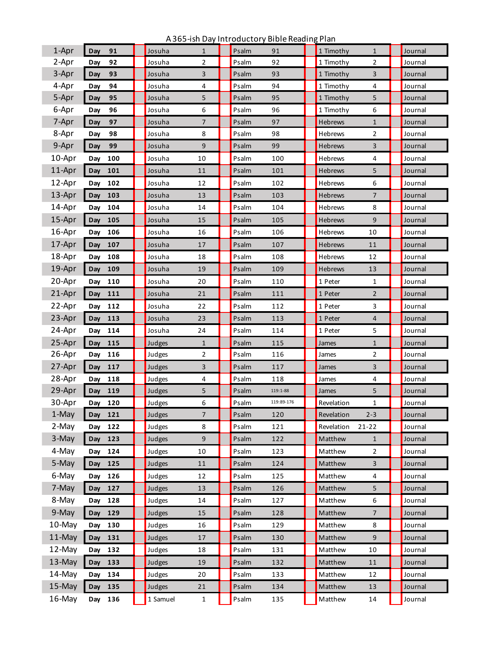A 365-ish Day Introductory Bible Reading Plan

| 1-Apr  | 91<br>Day  | Josuha   | $\mathbf{1}$   | Psalm | 91         | 1 Timothy  | $\mathbf{1}$   | Journal |
|--------|------------|----------|----------------|-------|------------|------------|----------------|---------|
| 2-Apr  | 92<br>Day  | Josuha   | $\overline{2}$ | Psalm | 92         | 1 Timothy  | $\overline{2}$ | Journal |
| 3-Apr  | Day<br>93  | Josuha   | 3              | Psalm | 93         | 1 Timothy  | 3              | Journal |
| 4-Apr  | 94<br>Day  | Josuha   | 4              | Psalm | 94         | 1 Timothy  | 4              | Journal |
| 5-Apr  | 95<br>Day  | Josuha   | 5              | Psalm | 95         | 1 Timothy  | 5              | Journal |
| 6-Apr  | Day<br>96  | Josuha   | 6              | Psalm | 96         | 1 Timothy  | 6              | Journal |
| 7-Apr  | 97<br>Day  | Josuha   | $\overline{7}$ | Psalm | 97         | Hebrews    | $\mathbf{1}$   | Journal |
| 8-Apr  | 98<br>Day  | Josuha   | 8              | Psalm | 98         | Hebrews    | 2              | Journal |
| 9-Apr  | 99<br>Day  | Josuha   | 9              | Psalm | 99         | Hebrews    | 3              | Journal |
| 10-Apr | 100<br>Day | Josuha   | 10             | Psalm | 100        | Hebrews    | 4              | Journal |
| 11-Apr | 101<br>Day | Josuha   | 11             | Psalm | 101        | Hebrews    | 5              | Journal |
| 12-Apr | Day<br>102 | Josuha   | 12             | Psalm | 102        | Hebrews    | 6              | Journal |
| 13-Apr | 103<br>Day | Josuha   | 13             | Psalm | 103        | Hebrews    | 7              | Journal |
| 14-Apr | Day<br>104 | Josuha   | 14             | Psalm | 104        | Hebrews    | 8              | Journal |
| 15-Apr | 105<br>Day | Josuha   | 15             | Psalm | 105        | Hebrews    | 9              | Journal |
| 16-Apr | Day<br>106 | Josuha   | 16             | Psalm | 106        | Hebrews    | 10             | Journal |
| 17-Apr | 107<br>Day | Josuha   | 17             | Psalm | 107        | Hebrews    | 11             | Journal |
| 18-Apr | Day<br>108 | Josuha   | 18             | Psalm | 108        | Hebrews    | 12             | Journal |
| 19-Apr | 109<br>Day | Josuha   | 19             | Psalm | 109        | Hebrews    | 13             | Journal |
| 20-Apr | Day<br>110 | Josuha   | 20             | Psalm | 110        | 1 Peter    | 1              | Journal |
| 21-Apr | 111<br>Day | Josuha   | 21             | Psalm | 111        | 1 Peter    | $\overline{2}$ | Journal |
| 22-Apr | Day<br>112 | Josuha   | 22             | Psalm | 112        | 1 Peter    | 3              | Journal |
| 23-Apr | 113<br>Day | Josuha   | 23             | Psalm | 113        | 1 Peter    | 4              | Journal |
| 24-Apr | Day<br>114 | Josuha   | 24             | Psalm | 114        | 1 Peter    | 5              | Journal |
| 25-Apr | Day<br>115 | Judges   | $\mathbf{1}$   | Psalm | 115        | James      | $\mathbf{1}$   | Journal |
| 26-Apr | 116<br>Day | Judges   | 2              | Psalm | 116        | James      | 2              | Journal |
| 27-Apr | Day<br>117 | Judges   | 3              | Psalm | 117        | James      | 3              | Journal |
| 28-Apr | 118<br>Day | Judges   | 4              | Psalm | 118        | James      | 4              | Journal |
| 29-Apr | 119<br>Day | Judges   | 5              | Psalm | 119:1-88   | James      | 5              | Journal |
| 30-Apr | Day 120    | Judges   | 6              | Psalm | 119:89-176 | Revelation | $\mathbf{1}$   | Journal |
| 1-May  | Day<br>121 | Judges   | 7              | Psalm | 120        | Revelation | $2 - 3$        | Journal |
| 2-May  | 122<br>Day | Judges   | 8              | Psalm | 121        | Revelation | $21 - 22$      | Journal |
| 3-May  | 123<br>Day | Judges   | 9              | Psalm | 122        | Matthew    | $\mathbf{1}$   | Journal |
| 4-May  | 124<br>Day | Judges   | 10             | Psalm | 123        | Matthew    | $\overline{2}$ | Journal |
| 5-May  | Day<br>125 | Judges   | 11             | Psalm | 124        | Matthew    | $\mathsf{3}$   | Journal |
| 6-May  | 126<br>Day | Judges   | 12             | Psalm | 125        | Matthew    | 4              | Journal |
| 7-May  | 127<br>Day | Judges   | 13             | Psalm | 126        | Matthew    | 5              | Journal |
| 8-May  | 128<br>Day | Judges   | 14             | Psalm | 127        | Matthew    | 6              | Journal |
| 9-May  | Day<br>129 | Judges   | 15             | Psalm | 128        | Matthew    | $\overline{7}$ | Journal |
| 10-May | 130<br>Day | Judges   | 16             | Psalm | 129        | Matthew    | 8              | Journal |
| 11-May | Day<br>131 | Judges   | 17             | Psalm | 130        | Matthew    | 9              | Journal |
| 12-May | 132<br>Day | Judges   | 18             | Psalm | 131        | Matthew    | 10             | Journal |
| 13-May | Day<br>133 | Judges   | 19             | Psalm | 132        | Matthew    | 11             | Journal |
| 14-May | 134<br>Day | Judges   | 20             | Psalm | 133        | Matthew    | 12             | Journal |
| 15-May | 135<br>Day | Judges   | 21             | Psalm | 134        | Matthew    | 13             | Journal |
| 16-May | 136<br>Day | 1 Samuel | $\mathbf{1}$   | Psalm | 135        | Matthew    | 14             | Journal |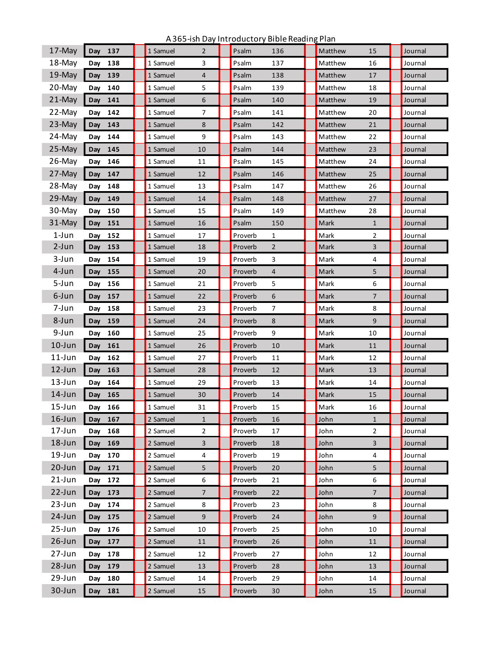| 17-May     | Day 137    | $\overline{2}$<br>1 Samuel | Psalm<br>136              | Matthew<br>15          | Journal |
|------------|------------|----------------------------|---------------------------|------------------------|---------|
| 18-May     | 138<br>Day | 3<br>1 Samuel              | Psalm<br>137              | Matthew<br>16          | Journal |
| 19-May     | 139<br>Day | $\overline{4}$<br>1 Samuel | 138<br>Psalm              | Matthew<br>17          | Journal |
| 20-May     | Day 140    | 1 Samuel<br>5              | Psalm<br>139              | Matthew<br>18          | Journal |
| 21-May     | 141<br>Day | 6<br>1 Samuel              | 140<br>Psalm              | Matthew<br>19          | Journal |
| 22-May     | 142<br>Day | $\overline{7}$<br>1 Samuel | Psalm<br>141              | Matthew<br>20          | Journal |
| 23-May     | 143<br>Day | 8<br>1 Samuel              | Psalm<br>142              | Matthew<br>21          | Journal |
| 24-May     | 144<br>Day | 9<br>1 Samuel              | Psalm<br>143              | Matthew<br>22          | Journal |
| 25-May     | 145<br>Day | 10<br>1 Samuel             | Psalm<br>144              | Matthew<br>23          | Journal |
| 26-May     | Day 146    | 1 Samuel<br>11             | Psalm<br>145              | Matthew<br>24          | Journal |
| 27-May     | Day<br>147 | 12<br>1 Samuel             | 146<br>Psalm              | Matthew<br>25          | Journal |
| 28-May     | 148<br>Day | 1 Samuel<br>13             | Psalm<br>147              | Matthew<br>26          | Journal |
| 29-May     | 149<br>Day | 14<br>1 Samuel             | Psalm<br>148              | Matthew<br>27          | Journal |
| 30-May     | 150<br>Day | 15<br>1 Samuel             | Psalm<br>149              | Matthew<br>28          | Journal |
| 31-May     | 151<br>Day | 16<br>1 Samuel             | Psalm<br>150              | Mark<br>$\mathbf{1}$   | Journal |
| $1-Jun$    | Day 152    | 1 Samuel<br>17             | Proverb<br>$\mathbf{1}$   | Mark<br>$\overline{2}$ | Journal |
| $2-Jun$    | Day<br>153 | 1 Samuel<br>18             | Proverb<br>$\overline{2}$ | Mark<br>3              | Journal |
| 3-Jun      | 154<br>Day | 19<br>1 Samuel             | Proverb<br>3              | 4<br>Mark              | Journal |
| 4-Jun      | Day<br>155 | 1 Samuel<br>20             | Proverb<br>4              | Mark<br>5              | Journal |
| 5-Jun      | 156<br>Day | 1 Samuel<br>21             | 5<br>Proverb              | 6<br>Mark              | Journal |
| 6-Jun      | Day<br>157 | 1 Samuel<br>22             | Proverb<br>6              | Mark<br>$\overline{7}$ | Journal |
| 7-Jun      | 158<br>Day | 1 Samuel<br>23             | Proverb<br>7              | Mark<br>8              | Journal |
| 8-Jun      | Day<br>159 | 1 Samuel<br>24             | Proverb<br>8              | 9<br>Mark              | Journal |
| 9-Jun      | 160<br>Day | 1 Samuel<br>25             | 9<br>Proverb              | 10<br>Mark             | Journal |
| $10$ -Jun  | 161<br>Day | 1 Samuel<br>26             | Proverb<br>10             | Mark<br>11             | Journal |
| $11$ -Jun  | 162<br>Day | 27<br>1 Samuel             | Proverb<br>11             | Mark<br>12             | Journal |
| 12-Jun     | Day<br>163 | 1 Samuel<br>28             | Proverb<br>12             | Mark<br>13             | Journal |
| $13 - Jun$ | 164<br>Day | 1 Samuel<br>29             | Proverb<br>13             | Mark<br>14             | Journal |
| $14$ -Jun  | Day<br>165 | 1 Samuel<br>30             | Proverb<br>14             | Mark<br>15             | Journal |
| $15$ -Jun  | Day<br>166 | 1 Samuel<br>31             | Proverb<br>15             | Mark<br>16             | Journal |
| $16$ -Jun  | 167<br>Day | 2 Samuel<br>$\mathbf{1}$   | Proverb<br>16             | John<br>$\mathbf{1}$   | Journal |
| 17-Jun     | 168<br>Day | $\overline{2}$<br>2 Samuel | 17<br>Proverb             | $\overline{2}$<br>John | Journal |
| 18-Jun     | 169<br>Day | $\mathsf{3}$<br>2 Samuel   | Proverb<br>18             | $\overline{3}$<br>John | Journal |
| 19-Jun     | 170<br>Day | 2 Samuel<br>4              | 19<br>Proverb             | 4<br>John              | Journal |
| $20 - Jun$ | 171<br>Day | 2 Samuel<br>5              | Proverb<br>20             | John<br>5              | Journal |
| $21$ -Jun  | 172<br>Day | 2 Samuel<br>6              | Proverb<br>21             | 6<br>John              | Journal |
| 22-Jun     | 173<br>Day | 2 Samuel<br>$\overline{7}$ | Proverb<br>22             | John<br>$\overline{7}$ | Journal |
| 23-Jun     | 174<br>Day | 2 Samuel<br>8              | 23<br>Proverb             | 8<br>John              | Journal |
| $24$ -Jun  | 175<br>Day | 9<br>2 Samuel              | Proverb<br>24             | 9<br>John              | Journal |
| 25-Jun     | 176<br>Day | 2 Samuel<br>10             | 25<br>Proverb             | 10<br>John             | Journal |
| $26$ -Jun  | 177<br>Day | 2 Samuel<br>11             | Proverb<br>26             | John<br>11             | Journal |
| 27-Jun     | 178<br>Day | 2 Samuel<br>12             | 27<br>Proverb             | 12<br>John             | Journal |
| 28-Jun     | 179<br>Day | 2 Samuel<br>13             | Proverb<br>28             | John<br>13             | Journal |
| 29-Jun     | 180<br>Day | 2 Samuel<br>14             | 29<br>Proverb             | John<br>14             | Journal |
| 30-Jun     | 181<br>Day | 2 Samuel<br>15             | Proverb<br>30             | John<br>15             | Journal |
|            |            |                            |                           |                        |         |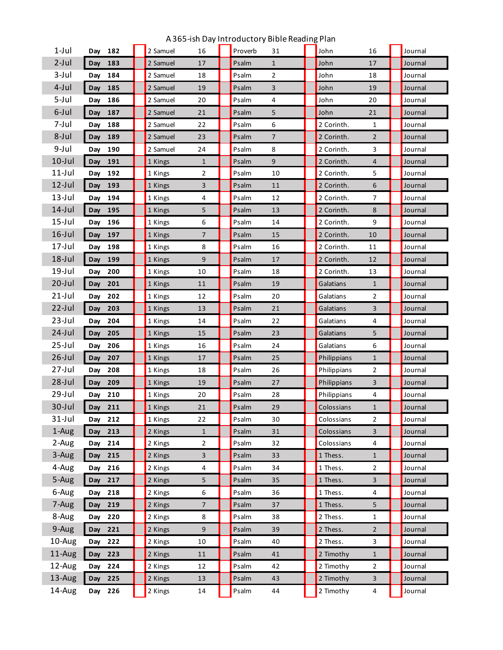| $1$ -Jul  | Day | 182     | 2 Samuel | 16             | Proverb | 31           | John        | 16                      | Journal |
|-----------|-----|---------|----------|----------------|---------|--------------|-------------|-------------------------|---------|
| $2$ -Jul  | Day | 183     | 2 Samuel | 17             | Psalm   | $\mathbf{1}$ | John        | 17                      | Journal |
| $3-Jul$   | Day | 184     | 2 Samuel | 18             | Psalm   | 2            | John        | 18                      | Journal |
| $4$ -Jul  | Day | 185     | 2 Samuel | 19             | Psalm   | 3            | John        | 19                      | Journal |
| 5-Jul     | Day | 186     | 2 Samuel | 20             | Psalm   | 4            | John        | 20                      | Journal |
| 6-Jul     | Day | 187     | 2 Samuel | 21             | Psalm   | 5            | John        | 21                      | Journal |
| 7-Jul     | Day | 188     | 2 Samuel | 22             | Psalm   | 6            | 2 Corinth.  | 1                       | Journal |
| 8-Jul     | Day | 189     | 2 Samuel | 23             | Psalm   | 7            | 2 Corinth.  | $\overline{2}$          | Journal |
| $9$ -Jul  | Day | 190     | 2 Samuel | 24             | Psalm   | 8            | 2 Corinth.  | 3                       | Journal |
| $10$ -Jul | Day | 191     | 1 Kings  | $\mathbf{1}$   | Psalm   | 9            | 2 Corinth.  | $\overline{4}$          | Journal |
| $11$ -Jul | Day | 192     | 1 Kings  | 2              | Psalm   | 10           | 2 Corinth.  | 5                       | Journal |
| $12$ -Jul | Day | 193     | 1 Kings  | 3              | Psalm   | 11           | 2 Corinth.  | 6                       | Journal |
| $13$ -Jul | Day | 194     | 1 Kings  | 4              | Psalm   | 12           | 2 Corinth.  | 7                       | Journal |
| $14$ -Jul | Day | 195     | 1 Kings  | 5              | Psalm   | 13           | 2 Corinth.  | 8                       | Journal |
| $15$ -Jul | Day | 196     | 1 Kings  | 6              | Psalm   | 14           | 2 Corinth.  | 9                       | Journal |
| $16$ -Jul | Day | 197     | 1 Kings  | $\overline{7}$ | Psalm   | 15           | 2 Corinth.  | 10                      | Journal |
| $17$ -Jul | Day | 198     | 1 Kings  | 8              | Psalm   | 16           | 2 Corinth.  | 11                      | Journal |
| $18$ -Jul | Day | 199     | 1 Kings  | 9              | Psalm   | 17           | 2 Corinth.  | 12                      | Journal |
| $19$ -Jul | Day | 200     | 1 Kings  | 10             | Psalm   | 18           | 2 Corinth.  | 13                      | Journal |
| $20$ -Jul | Day | 201     | 1 Kings  | 11             | Psalm   | 19           | Galatians   | $\mathbf{1}$            | Journal |
| $21$ -Jul | Day | 202     | 1 Kings  | 12             | Psalm   | 20           | Galatians   | 2                       | Journal |
| $22$ -Jul | Day | 203     | 1 Kings  | 13             | Psalm   | 21           | Galatians   | 3                       | Journal |
| $23$ -Jul | Day | 204     | 1 Kings  | 14             | Psalm   | 22           | Galatians   | 4                       | Journal |
| $24$ -Jul | Day | 205     | 1 Kings  | 15             | Psalm   | 23           | Galatians   | 5                       | Journal |
| $25$ -Jul | Day | 206     | 1 Kings  | 16             | Psalm   | 24           | Galatians   | 6                       | Journal |
| $26$ -Jul | Day | 207     | 1 Kings  | 17             | Psalm   | 25           | Philippians | $\mathbf{1}$            | Journal |
| $27$ -Jul | Day | 208     | 1 Kings  | 18             | Psalm   | 26           | Philippians | 2                       | Journal |
| $28$ -Jul | Day | 209     | 1 Kings  | 19             | Psalm   | 27           | Philippians | 3                       | Journal |
| $29$ -Jul | Day | 210     | 1 Kings  | 20             | Psalm   | 28           | Philippians | 4                       | Journal |
| $30$ -Jul | Day | 211     | 1 Kings  | 21             | Psalm   | 29           | Colossians  | $\mathbf{1}$            | Journal |
| $31$ -Jul |     | Day 212 | 1 Kings  | 22             | Psalm   | 30           | Colossians  | $\overline{2}$          | Journal |
| 1-Aug     | Day | 213     | 2 Kings  | $\mathbf{1}$   | Psalm   | 31           | Colossians  | $\overline{\mathbf{3}}$ | Journal |
| 2-Aug     |     | Day 214 | 2 Kings  | $\overline{2}$ | Psalm   | 32           | Colossians  | 4                       | Journal |
| 3-Aug     | Day | 215     | 2 Kings  | 3              | Psalm   | 33           | 1 Thess.    | $\mathbf{1}$            | Journal |
| 4-Aug     | Day | 216     | 2 Kings  | 4              | Psalm   | 34           | 1 Thess.    | $\overline{2}$          | Journal |
| 5-Aug     | Day | 217     | 2 Kings  | 5              | Psalm   | 35           | 1 Thess.    | $\overline{\mathbf{3}}$ | Journal |
| 6-Aug     | Day | 218     | 2 Kings  | 6              | Psalm   | 36           | 1 Thess.    | 4                       | Journal |
| 7-Aug     | Day | 219     | 2 Kings  | $\overline{7}$ | Psalm   | 37           | 1 Thess.    | 5                       | Journal |
| 8-Aug     | Day | 220     | 2 Kings  | 8              | Psalm   | 38           | 2 Thess.    | $\mathbf{1}$            | Journal |
| 9-Aug     | Day | 221     | 2 Kings  | 9              | Psalm   | 39           | 2 Thess.    | $\overline{2}$          | Journal |
| 10-Aug    | Day | 222     | 2 Kings  | 10             | Psalm   | 40           | 2 Thess.    | 3                       | Journal |
| 11-Aug    | Day | 223     | 2 Kings  | 11             | Psalm   | 41           | 2 Timothy   | $\mathbf{1}$            | Journal |
| 12-Aug    | Day | 224     | 2 Kings  | 12             | Psalm   | 42           | 2 Timothy   | $\overline{2}$          | Journal |
| 13-Aug    | Day | 225     | 2 Kings  | 13             | Psalm   | 43           | 2 Timothy   | $\mathbf{3}$            | Journal |
| 14-Aug    |     | Day 226 | 2 Kings  | 14             | Psalm   | 44           | 2 Timothy   | $\overline{4}$          | Journal |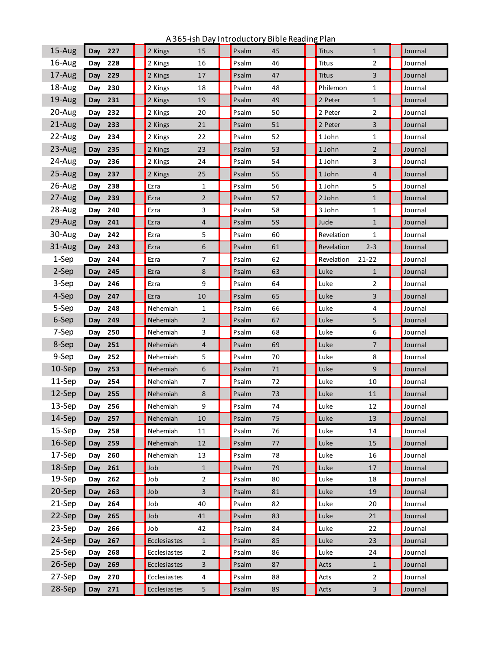| $15-Aug$ | Day<br>227 | 2 Kings<br>15                  | Psalm<br>45 | Titus<br>$\mathbf{1}$    | Journal |
|----------|------------|--------------------------------|-------------|--------------------------|---------|
| 16-Aug   | 228<br>Day | 2 Kings<br>16                  | Psalm<br>46 | 2<br>Titus               | Journal |
| 17-Aug   | Day<br>229 | 17<br>2 Kings                  | Psalm<br>47 | 3<br>Titus               | Journal |
| 18-Aug   | 230<br>Day | 2 Kings<br>18                  | Psalm<br>48 | Philemon<br>1            | Journal |
| 19-Aug   | Day<br>231 | 19<br>2 Kings                  | 49<br>Psalm | 2 Peter<br>$\mathbf{1}$  | Journal |
| 20-Aug   | 232<br>Day | 20<br>2 Kings                  | 50<br>Psalm | 2 Peter<br>2             | Journal |
| 21-Aug   | Day<br>233 | 21<br>2 Kings                  | Psalm<br>51 | 3<br>2 Peter             | Journal |
| 22-Aug   | 234<br>Day | 2 Kings<br>22                  | Psalm<br>52 | 1 John<br>$\mathbf{1}$   | Journal |
| 23-Aug   | Day<br>235 | 23<br>2 Kings                  | 53<br>Psalm | $\overline{2}$<br>1 John | Journal |
| 24-Aug   | 236<br>Day | 24<br>2 Kings                  | Psalm<br>54 | 3<br>1 John              | Journal |
| 25-Aug   | Day<br>237 | 25<br>2 Kings                  | 55<br>Psalm | 1 John<br>4              | Journal |
| 26-Aug   | 238<br>Day | $\mathbf{1}$<br>Ezra           | Psalm<br>56 | 5<br>1 John              | Journal |
| 27-Aug   | Day<br>239 | $\overline{2}$<br>Ezra         | 57<br>Psalm | 2 John<br>$\mathbf{1}$   | Journal |
| 28-Aug   | 240<br>Day | 3<br>Ezra                      | Psalm<br>58 | 3 John<br>1              | Journal |
| 29-Aug   | Day<br>241 | 4<br>Ezra                      | Psalm<br>59 | Jude<br>$\mathbf{1}$     | Journal |
| 30-Aug   | 242<br>Day | 5<br>Ezra                      | Psalm<br>60 | Revelation<br>1          | Journal |
| 31-Aug   | Day<br>243 | 6<br>Ezra                      | 61<br>Psalm | Revelation<br>$2 - 3$    | Journal |
| 1-Sep    | 244<br>Day | $\overline{7}$<br>Ezra         | Psalm<br>62 | Revelation<br>$21 - 22$  | Journal |
| 2-Sep    | Day<br>245 | 8<br>Ezra                      | 63<br>Psalm | Luke<br>$\mathbf{1}$     | Journal |
| 3-Sep    | 246<br>Day | 9<br>Ezra                      | Psalm<br>64 | 2<br>Luke                | Journal |
| 4-Sep    | Day<br>247 | 10<br>Ezra                     | 65<br>Psalm | Luke<br>3                | Journal |
| 5-Sep    | 248<br>Day | Nehemiah<br>1                  | Psalm<br>66 | Luke<br>4                | Journal |
| 6-Sep    | Day<br>249 | Nehemiah<br>$\overline{2}$     | 67<br>Psalm | Luke<br>5                | Journal |
| 7-Sep    | 250<br>Day | 3<br>Nehemiah                  | Psalm<br>68 | 6<br>Luke                | Journal |
| 8-Sep    | Day<br>251 | Nehemiah<br>$\overline{4}$     | 69<br>Psalm | Luke<br>7                | Journal |
| 9-Sep    | 252<br>Day | 5<br>Nehemiah                  | 70<br>Psalm | Luke<br>8                | Journal |
| 10-Sep   | Day<br>253 | 6<br>Nehemiah                  | Psalm<br>71 | Luke<br>9                | Journal |
| 11-Sep   | 254<br>Day | $\overline{7}$<br>Nehemiah     | 72<br>Psalm | Luke<br>10               | Journal |
| 12-Sep   | Day<br>255 | Nehemiah<br>8                  | Psalm<br>73 | Luke<br>11               | Journal |
| 13-Sep   | Day<br>256 | 9<br>Nehemiah                  | Psalm<br>74 | 12<br>Luke               | Journal |
| 14-Sep   | Day<br>257 | Nehemiah<br>10                 | Psalm<br>75 | Luke<br>13               | Journal |
| 15-Sep   | 258<br>Day | Nehemiah<br>11                 | 76<br>Psalm | Luke<br>14               | Journal |
| 16-Sep   | 259<br>Day | Nehemiah<br>12                 | Psalm<br>77 | Luke<br>15               | Journal |
| 17-Sep   | 260<br>Day | Nehemiah<br>13                 | 78<br>Psalm | 16<br>Luke               | Journal |
| 18-Sep   | Day<br>261 | Job<br>$\mathbf{1}$            | Psalm<br>79 | Luke<br>17               | Journal |
| 19-Sep   | 262<br>Day | $\overline{2}$<br>Job          | 80<br>Psalm | Luke<br>18               | Journal |
| 20-Sep   | 263<br>Day | 3<br>Job                       | Psalm<br>81 | Luke<br>19               | Journal |
| 21-Sep   | 264<br>Day | 40<br>Job                      | 82<br>Psalm | 20<br>Luke               | Journal |
| 22-Sep   | 265<br>Day | Job<br>41                      | Psalm<br>83 | Luke<br>21               | Journal |
| 23-Sep   | 266<br>Day | 42<br>Job                      | Psalm<br>84 | Luke<br>22               | Journal |
| 24-Sep   | Day<br>267 | Ecclesiastes<br>$\mathbf{1}$   | Psalm<br>85 | Luke<br>23               | Journal |
| 25-Sep   | 268<br>Day | $\overline{2}$<br>Ecclesiastes | Psalm<br>86 | Luke<br>24               | Journal |
| 26-Sep   | 269<br>Day | 3<br>Ecclesiastes              | Psalm<br>87 | Acts<br>$\mathbf{1}$     | Journal |
| 27-Sep   | Day<br>270 | 4<br>Ecclesiastes              | Psalm<br>88 | $\overline{2}$<br>Acts   | Journal |
| 28-Sep   | Day 271    | Ecclesiastes<br>5              | Psalm<br>89 | Acts<br>3                | Journal |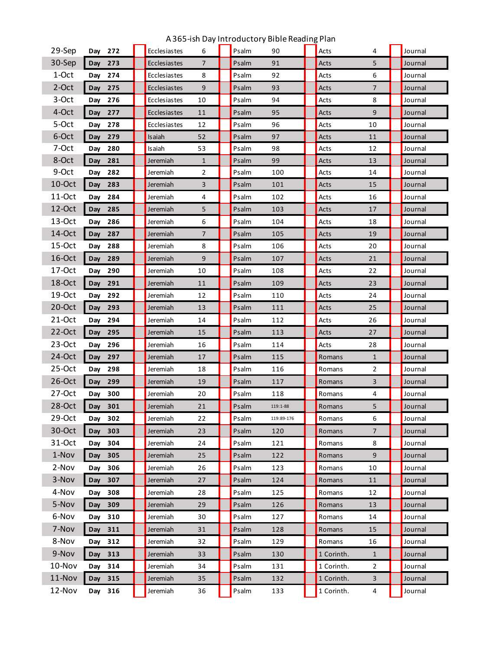| 29-Sep    | Day | 272     | Ecclesiastes | 6              | Psalm | 90         | Acts       | 4              | Journal |
|-----------|-----|---------|--------------|----------------|-------|------------|------------|----------------|---------|
| 30-Sep    | Day | 273     | Ecclesiastes | $\overline{7}$ | Psalm | 91         | Acts       | 5              | Journal |
| 1-Oct     | Day | 274     | Ecclesiastes | 8              | Psalm | 92         | Acts       | 6              | Journal |
| 2-Oct     | Day | 275     | Ecclesiastes | 9              | Psalm | 93         | Acts       | $\overline{7}$ | Journal |
| 3-Oct     | Day | 276     | Ecclesiastes | 10             | Psalm | 94         | Acts       | 8              | Journal |
| 4-Oct     | Day | 277     | Ecclesiastes | 11             | Psalm | 95         | Acts       | 9              | Journal |
| 5-Oct     | Day | 278     | Ecclesiastes | 12             | Psalm | 96         | Acts       | 10             | Journal |
| 6-Oct     | Day | 279     | Isaiah       | 52             | Psalm | 97         | Acts       | 11             | Journal |
| 7-Oct     | Day | 280     | Isaiah       | 53             | Psalm | 98         | Acts       | 12             | Journal |
| 8-Oct     | Day | 281     | Jeremiah     | $\mathbf{1}$   | Psalm | 99         | Acts       | 13             | Journal |
| 9-Oct     | Day | 282     | Jeremiah     | $\overline{2}$ | Psalm | 100        | Acts       | 14             | Journal |
| $10$ -Oct | Day | 283     | Jeremiah     | 3              | Psalm | 101        | Acts       | 15             | Journal |
| 11-Oct    | Day | 284     | Jeremiah     | 4              | Psalm | 102        | Acts       | 16             | Journal |
| $12$ -Oct | Day | 285     | Jeremiah     | 5              | Psalm | 103        | Acts       | 17             | Journal |
| $13-Oct$  | Day | 286     | Jeremiah     | 6              | Psalm | 104        | Acts       | 18             | Journal |
| 14-Oct    | Day | 287     | Jeremiah     | $\overline{7}$ | Psalm | 105        | Acts       | 19             | Journal |
| 15-Oct    | Day | 288     | Jeremiah     | 8              | Psalm | 106        | Acts       | 20             | Journal |
| 16-Oct    | Day | 289     | Jeremiah     | 9              | Psalm | 107        | Acts       | 21             | Journal |
| 17-Oct    | Day | 290     | Jeremiah     | 10             | Psalm | 108        | Acts       | 22             | Journal |
| 18-Oct    | Day | 291     | Jeremiah     | 11             | Psalm | 109        | Acts       | 23             | Journal |
| $19$ -Oct | Day | 292     | Jeremiah     | 12             | Psalm | 110        | Acts       | 24             | Journal |
| $20$ -Oct | Day | 293     | Jeremiah     | 13             | Psalm | 111        | Acts       | 25             | Journal |
| 21-Oct    | Day | 294     | Jeremiah     | 14             | Psalm | 112        | Acts       | 26             | Journal |
| 22-Oct    | Day | 295     | Jeremiah     | 15             | Psalm | 113        | Acts       | 27             | Journal |
| $23-Oct$  | Day | 296     | Jeremiah     | 16             | Psalm | 114        | Acts       | 28             | Journal |
| 24-Oct    | Day | 297     | Jeremiah     | 17             | Psalm | 115        | Romans     | $\mathbf{1}$   | Journal |
| 25-Oct    | Day | 298     | Jeremiah     | 18             | Psalm | 116        | Romans     | 2              | Journal |
| $26$ -Oct | Day | 299     | Jeremiah     | 19             | Psalm | 117        | Romans     | 3              | Journal |
| $27-Oct$  | Day | 300     | Jeremiah     | 20             | Psalm | 118        | Romans     | 4              | Journal |
| 28-Oct    | Day | 301     | Jeremiah     | 21             | Psalm | 119:1-88   | Romans     | 5              | Journal |
| 29-Oct    |     | Day 302 | Jeremiah     | 22             | Psalm | 119:89-176 | Romans     | 6              | Journal |
| 30-Oct    | Day | 303     | Jeremiah     | 23             | Psalm | 120        | Romans     | $\overline{7}$ | Journal |
| 31-Oct    | Day | 304     | Jeremiah     | 24             | Psalm | 121        | Romans     | 8              | Journal |
| 1-Nov     | Day | 305     | Jeremiah     | 25             | Psalm | 122        | Romans     | 9              | Journal |
| 2-Nov     | Day | 306     | Jeremiah     | 26             | Psalm | 123        | Romans     | 10             | Journal |
| 3-Nov     | Day | 307     | Jeremiah     | 27             | Psalm | 124        | Romans     | 11             | Journal |
| 4-Nov     | Day | 308     | Jeremiah     | 28             | Psalm | 125        | Romans     | 12             | Journal |
| 5-Nov     | Day | 309     | Jeremiah     | 29             | Psalm | 126        | Romans     | 13             | Journal |
| 6-Nov     | Day | 310     | Jeremiah     | 30             | Psalm | 127        | Romans     | 14             | Journal |
| 7-Nov     | Day | 311     | Jeremiah     | 31             | Psalm | 128        | Romans     | 15             | Journal |
| 8-Nov     | Day | 312     | Jeremiah     | 32             | Psalm | 129        | Romans     | 16             | Journal |
| 9-Nov     | Day | 313     | Jeremiah     | 33             | Psalm | 130        | 1 Corinth. | $\mathbf{1}$   | Journal |
| 10-Nov    | Day | 314     | Jeremiah     | 34             | Psalm | 131        | 1 Corinth. | $\overline{2}$ | Journal |
| 11-Nov    | Day | 315     | Jeremiah     | 35             | Psalm | 132        | 1 Corinth. | 3              | Journal |
| 12-Nov    |     | Day 316 | Jeremiah     | 36             | Psalm | 133        | 1 Corinth. | $\overline{4}$ | Journal |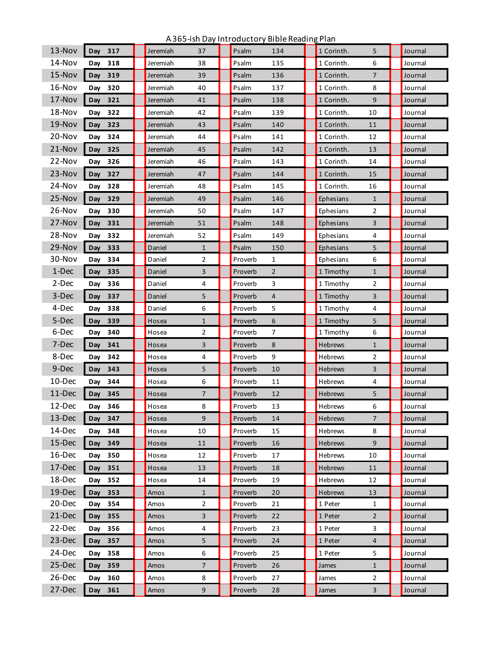| $13-Nov$ | Day 317    | Jeremiah | 37             | Psalm   | 134            | 1 Corinth.     | 5              | Journal |
|----------|------------|----------|----------------|---------|----------------|----------------|----------------|---------|
|          |            |          |                |         |                |                |                |         |
| 14-Nov   | 318<br>Day | Jeremiah | 38             | Psalm   | 135            | 1 Corinth.     | 6              | Journal |
| 15-Nov   | 319<br>Day | Jeremiah | 39             | Psalm   | 136            | 1 Corinth.     | $\overline{7}$ | Journal |
| 16-Nov   | 320<br>Day | Jeremiah | 40             | Psalm   | 137            | 1 Corinth.     | 8              | Journal |
| 17-Nov   | 321<br>Day | Jeremiah | 41             | Psalm   | 138            | 1 Corinth.     | 9              | Journal |
| 18-Nov   | 322<br>Day | Jeremiah | 42             | Psalm   | 139            | 1 Corinth.     | 10             | Journal |
| 19-Nov   | 323<br>Day | Jeremiah | 43             | Psalm   | 140            | 1 Corinth.     | 11             | Journal |
| 20-Nov   | 324<br>Day | Jeremiah | 44             | Psalm   | 141            | 1 Corinth.     | 12             | Journal |
| 21-Nov   | 325<br>Day | Jeremiah | 45             | Psalm   | 142            | 1 Corinth.     | 13             | Journal |
| 22-Nov   | 326<br>Day | Jeremiah | 46             | Psalm   | 143            | 1 Corinth.     | 14             | Journal |
| 23-Nov   | 327<br>Day | Jeremiah | 47             | Psalm   | 144            | 1 Corinth.     | 15             | Journal |
| 24-Nov   | 328<br>Day | Jeremiah | 48             | Psalm   | 145            | 1 Corinth.     | 16             | Journal |
| 25-Nov   | 329<br>Day | Jeremiah | 49             | Psalm   | 146            | Ephesians      | $\mathbf{1}$   | Journal |
| 26-Nov   | 330<br>Day | Jeremiah | 50             | Psalm   | 147            | Ephesians      | 2              | Journal |
| 27-Nov   | 331<br>Day | Jeremiah | 51             | Psalm   | 148            | Ephesians      | $\overline{3}$ | Journal |
| 28-Nov   | Day 332    | Jeremiah | 52             | Psalm   | 149            | Ephesians      | 4              | Journal |
| 29-Nov   | Day<br>333 | Daniel   | $\mathbf{1}$   | Psalm   | 150            | Ephesians      | 5              | Journal |
| 30-Nov   | Day<br>334 | Daniel   | $\overline{2}$ | Proverb | 1              | Ephesians      | 6              | Journal |
| 1-Dec    | 335<br>Day | Daniel   | 3              | Proverb | $\overline{2}$ | 1 Timothy      | $\mathbf{1}$   | Journal |
| 2-Dec    | 336<br>Day | Daniel   | 4              | Proverb | 3              | 1 Timothy      | 2              | Journal |
| 3-Dec    | Day<br>337 | Daniel   | 5              | Proverb | 4              | 1 Timothy      | 3              | Journal |
| 4-Dec    | 338<br>Day | Daniel   | 6              | Proverb | 5              | 1 Timothy      | 4              | Journal |
| 5-Dec    | Day<br>339 | Hosea    | $\mathbf{1}$   | Proverb | 6              | 1 Timothy      | 5              | Journal |
| 6-Dec    | 340<br>Day | Hosea    | 2              | Proverb | 7              | 1 Timothy      | 6              | Journal |
| 7-Dec    | 341<br>Day | Hosea    | 3              | Proverb | 8              | <b>Hebrews</b> | $\mathbf{1}$   | Journal |
| 8-Dec    | 342<br>Day | Hosea    | 4              | Proverb | 9              | Hebrews        | $\overline{2}$ | Journal |
| 9-Dec    | 343<br>Day | Hosea    | 5              | Proverb | 10             | <b>Hebrews</b> | 3              | Journal |
| 10-Dec   | 344<br>Day | Hosea    | 6              | Proverb | 11             | Hebrews        | 4              | Journal |
| 11-Dec   | 345<br>Day | Hosea    | 7              | Proverb | 12             | <b>Hebrews</b> | 5              | Journal |
| 12-Dec   | 346<br>Day | Hosea    | 8              | Proverb | 13             | <b>Hebrews</b> | 6              | Journal |
| 13-Dec   | 347<br>Day | Hosea    | 9              | Proverb | 14             | Hebrews        | $\overline{7}$ | Journal |
| 14-Dec   | 348<br>Day | Hosea    | 10             | Proverb | 15             | Hebrews        | 8              | Journal |
| 15-Dec   | 349<br>Day | Hosea    | 11             | Proverb | 16             | <b>Hebrews</b> | 9              | Journal |
| 16-Dec   | 350<br>Day | Hosea    | 12             | Proverb | 17             | <b>Hebrews</b> | 10             | Journal |
| 17-Dec   | Day<br>351 | Hosea    | 13             | Proverb | 18             | Hebrews        | 11             | Journal |
| 18-Dec   | 352<br>Day | Hosea    | 14             | Proverb | 19             | Hebrews        | 12             | Journal |
| 19-Dec   | Day<br>353 | Amos     | $\mathbf{1}$   | Proverb | 20             | <b>Hebrews</b> | 13             | Journal |
| 20-Dec   | 354<br>Day | Amos     | $\overline{2}$ | Proverb | 21             | 1 Peter        | $\mathbf{1}$   | Journal |
| 21-Dec   | 355<br>Day | Amos     | 3              | Proverb | 22             | 1 Peter        | $\overline{2}$ | Journal |
| 22-Dec   | 356<br>Day | Amos     | 4              | Proverb | 23             | 1 Peter        | 3              | Journal |
| 23-Dec   | Day<br>357 | Amos     | 5              | Proverb | 24             | 1 Peter        | $\overline{4}$ | Journal |
| 24-Dec   | 358<br>Day | Amos     | 6              | Proverb | 25             | 1 Peter        | 5              | Journal |
| 25-Dec   | 359<br>Day | Amos     | 7              | Proverb | 26             | James          | $\mathbf{1}$   | Journal |
| 26-Dec   | 360<br>Day | Amos     | 8              | Proverb | 27             | James          | $\overline{2}$ | Journal |
| 27-Dec   | Day 361    | Amos     | 9              | Proverb | 28             | James          | 3              | Journal |
|          |            |          |                |         |                |                |                |         |